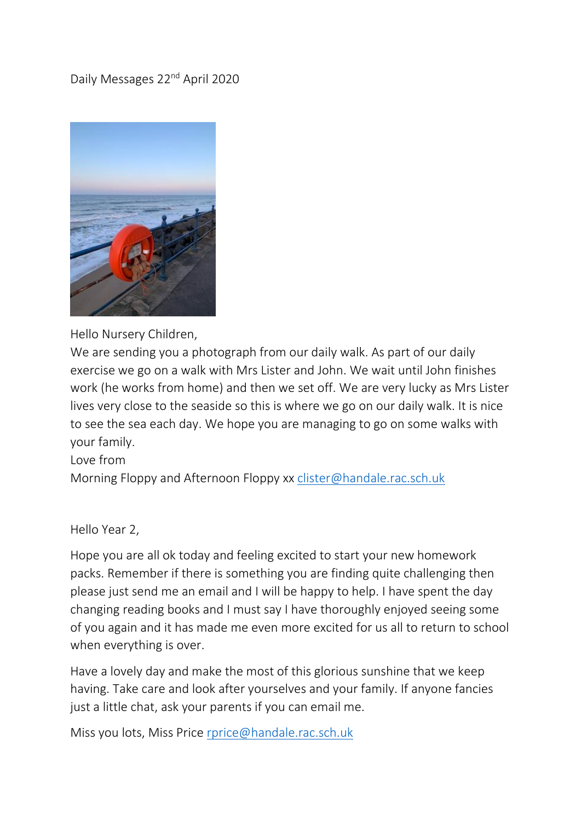# Daily Messages 22<sup>nd</sup> April 2020



Hello Nursery Children,

We are sending you a photograph from our daily walk. As part of our daily exercise we go on a walk with Mrs Lister and John. We wait until John finishes work (he works from home) and then we set off. We are very lucky as Mrs Lister lives very close to the seaside so this is where we go on our daily walk. It is nice to see the sea each day. We hope you are managing to go on some walks with your family.

#### Love from

Morning Floppy and Afternoon Floppy xx [clister@handale.rac.sch.uk](mailto:clister@handale.rac.sch.uk)

Hello Year 2,

Hope you are all ok today and feeling excited to start your new homework packs. Remember if there is something you are finding quite challenging then please just send me an email and I will be happy to help. I have spent the day changing reading books and I must say I have thoroughly enjoyed seeing some of you again and it has made me even more excited for us all to return to school when everything is over.

Have a lovely day and make the most of this glorious sunshine that we keep having. Take care and look after yourselves and your family. If anyone fancies just a little chat, ask your parents if you can email me.

Miss you lots, Miss Price [rprice@handale.rac.sch.uk](mailto:rprice@handale.rac.sch.uk)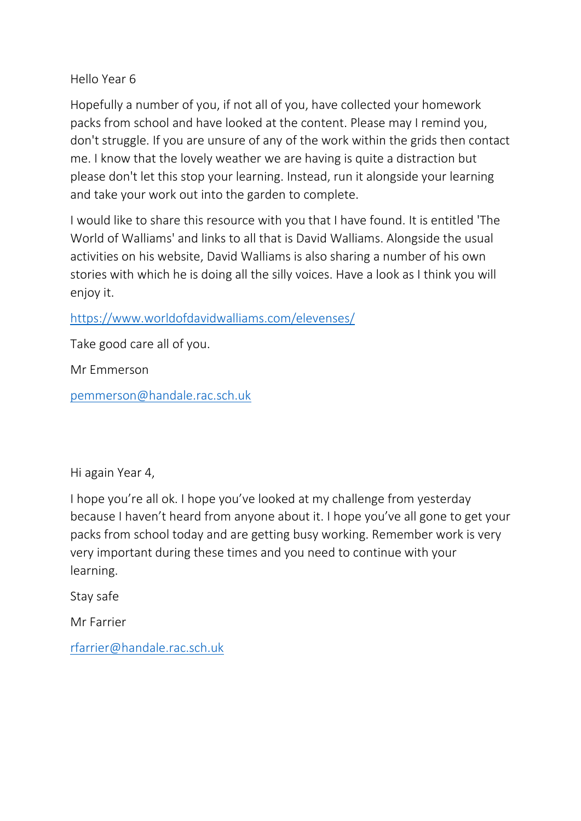### Hello Year 6

Hopefully a number of you, if not all of you, have collected your homework packs from school and have looked at the content. Please may I remind you, don't struggle. If you are unsure of any of the work within the grids then contact me. I know that the lovely weather we are having is quite a distraction but please don't let this stop your learning. Instead, run it alongside your learning and take your work out into the garden to complete.

I would like to share this resource with you that I have found. It is entitled 'The World of Walliams' and links to all that is David Walliams. Alongside the usual activities on his website, David Walliams is also sharing a number of his own stories with which he is doing all the silly voices. Have a look as I think you will enjoy it.

# <https://www.worldofdavidwalliams.com/elevenses/>

Take good care all of you.

Mr Emmerson

[pemmerson@handale.rac.sch.uk](mailto:pemmerson@handale.rac.sch.uk)

Hi again Year 4,

I hope you're all ok. I hope you've looked at my challenge from yesterday because I haven't heard from anyone about it. I hope you've all gone to get your packs from school today and are getting busy working. Remember work is very very important during these times and you need to continue with your learning.

Stay safe

Mr Farrier

[rfarrier@handale.rac.sch.uk](mailto:rfarrier@handale.rac.sch.uk)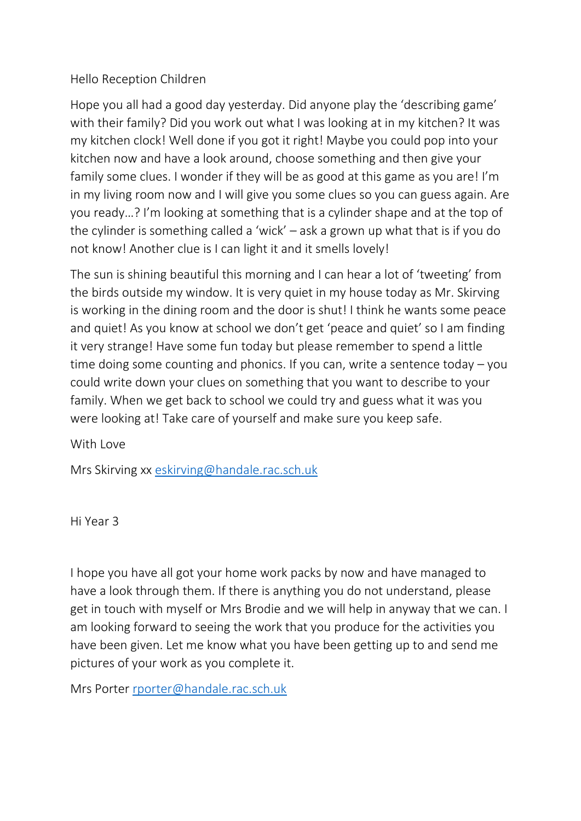## Hello Reception Children

Hope you all had a good day yesterday. Did anyone play the 'describing game' with their family? Did you work out what I was looking at in my kitchen? It was my kitchen clock! Well done if you got it right! Maybe you could pop into your kitchen now and have a look around, choose something and then give your family some clues. I wonder if they will be as good at this game as you are! I'm in my living room now and I will give you some clues so you can guess again. Are you ready…? I'm looking at something that is a cylinder shape and at the top of the cylinder is something called a 'wick' – ask a grown up what that is if you do not know! Another clue is I can light it and it smells lovely!

The sun is shining beautiful this morning and I can hear a lot of 'tweeting' from the birds outside my window. It is very quiet in my house today as Mr. Skirving is working in the dining room and the door is shut! I think he wants some peace and quiet! As you know at school we don't get 'peace and quiet' so I am finding it very strange! Have some fun today but please remember to spend a little time doing some counting and phonics. If you can, write a sentence today – you could write down your clues on something that you want to describe to your family. When we get back to school we could try and guess what it was you were looking at! Take care of yourself and make sure you keep safe.

With Love

Mrs Skirving xx [eskirving@handale.rac.sch.uk](mailto:eskirving@handale.rac.sch.uk)

Hi Year 3

I hope you have all got your home work packs by now and have managed to have a look through them. If there is anything you do not understand, please get in touch with myself or Mrs Brodie and we will help in anyway that we can. I am looking forward to seeing the work that you produce for the activities you have been given. Let me know what you have been getting up to and send me pictures of your work as you complete it.

Mrs Porter [rporter@handale.rac.sch.uk](mailto:rporter@handale.rac.sch.uk)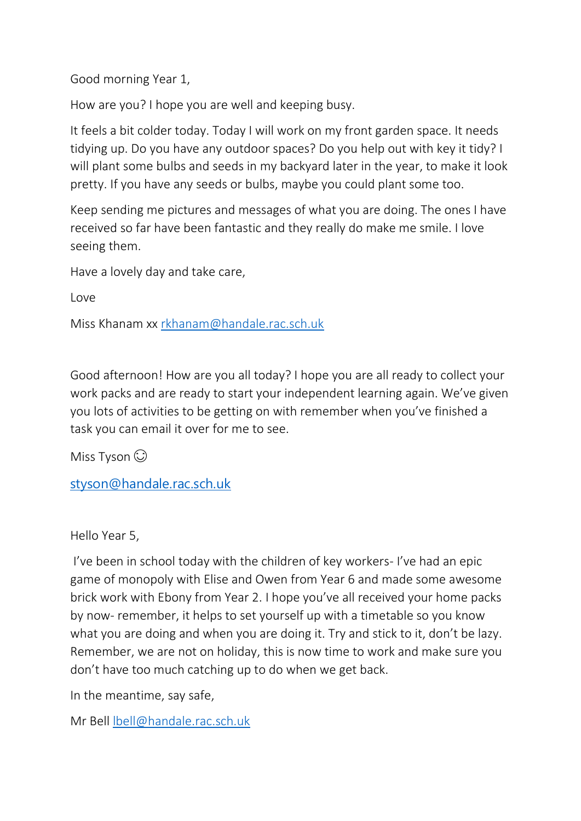Good morning Year 1,

How are you? I hope you are well and keeping busy.

It feels a bit colder today. Today I will work on my front garden space. It needs tidying up. Do you have any outdoor spaces? Do you help out with key it tidy? I will plant some bulbs and seeds in my backyard later in the year, to make it look pretty. If you have any seeds or bulbs, maybe you could plant some too.

Keep sending me pictures and messages of what you are doing. The ones I have received so far have been fantastic and they really do make me smile. I love seeing them.

Have a lovely day and take care,

Love

Miss Khanam xx [rkhanam@handale.rac.sch.uk](mailto:rkhanam@handale.rac.sch.uk)

Good afternoon! How are you all today? I hope you are all ready to collect your work packs and are ready to start your independent learning again. We've given you lots of activities to be getting on with remember when you've finished a task you can email it over for me to see.

Miss Tyson  $\odot$ 

[styson@handale.rac.sch.uk](mailto:styson@handale.rac.sch.uk)

Hello Year 5,

I've been in school today with the children of key workers- I've had an epic game of monopoly with Elise and Owen from Year 6 and made some awesome brick work with Ebony from Year 2. I hope you've all received your home packs by now- remember, it helps to set yourself up with a timetable so you know what you are doing and when you are doing it. Try and stick to it, don't be lazy. Remember, we are not on holiday, this is now time to work and make sure you don't have too much catching up to do when we get back.

In the meantime, say safe,

Mr Bell [lbell@handale.rac.sch.uk](mailto:lbell@handale.rac.sch.uk)